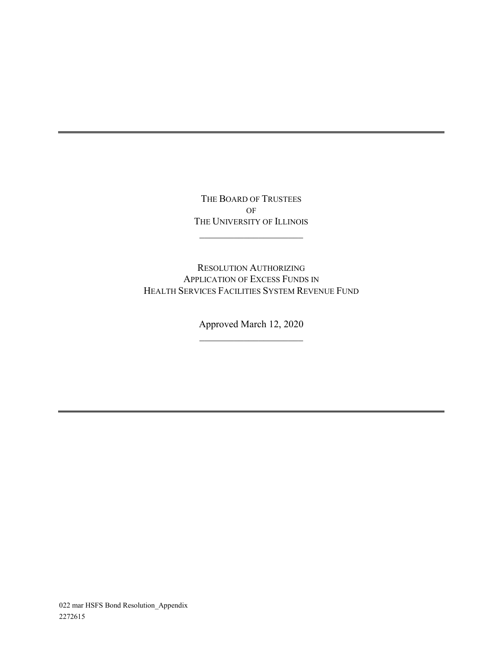THE BOARD OF TRUSTEES OF THE UNIVERSITY OF ILLINOIS

 $\overline{\phantom{a}}$  , which is a set of the set of the set of the set of the set of the set of the set of the set of the set of the set of the set of the set of the set of the set of the set of the set of the set of the set of th

RESOLUTION AUTHORIZING APPLICATION OF EXCESS FUNDS IN HEALTH SERVICES FACILITIES SYSTEM REVENUE FUND

> Approved March 12, 2020  $\overline{\phantom{a}}$  , which is a set of the set of the set of the set of the set of the set of the set of the set of the set of the set of the set of the set of the set of the set of the set of the set of the set of the set of th

022 mar HSFS Bond Resolution\_Appendix 2272615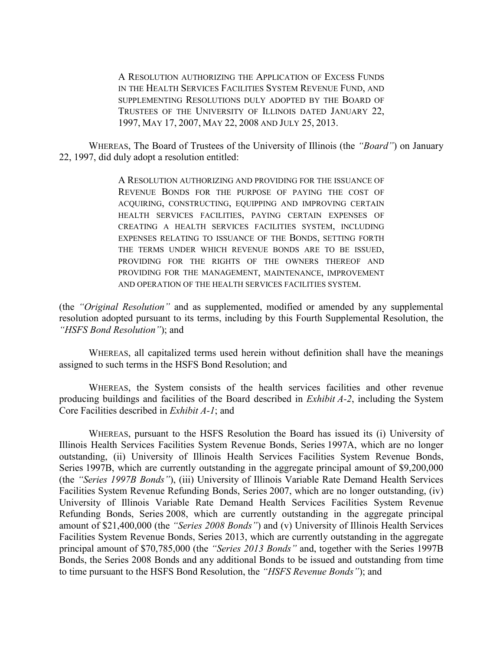A RESOLUTION AUTHORIZING THE APPLICATION OF EXCESS FUNDS IN THE HEALTH SERVICES FACILITIES SYSTEM REVENUE FUND, AND SUPPLEMENTING RESOLUTIONS DULY ADOPTED BY THE BOARD OF TRUSTEES OF THE UNIVERSITY OF ILLINOIS DATED JANUARY 22, 1997, MAY 17, 2007, MAY 22, 2008 AND JULY 25, 2013.

WHEREAS, The Board of Trustees of the University of Illinois (the *"Board"*) on January 22, 1997, did duly adopt a resolution entitled:

> A RESOLUTION AUTHORIZING AND PROVIDING FOR THE ISSUANCE OF REVENUE BONDS FOR THE PURPOSE OF PAYING THE COST OF ACQUIRING, CONSTRUCTING, EQUIPPING AND IMPROVING CERTAIN HEALTH SERVICES FACILITIES, PAYING CERTAIN EXPENSES OF CREATING A HEALTH SERVICES FACILITIES SYSTEM, INCLUDING EXPENSES RELATING TO ISSUANCE OF THE BONDS, SETTING FORTH THE TERMS UNDER WHICH REVENUE BONDS ARE TO BE ISSUED, PROVIDING FOR THE RIGHTS OF THE OWNERS THEREOF AND PROVIDING FOR THE MANAGEMENT, MAINTENANCE, IMPROVEMENT AND OPERATION OF THE HEALTH SERVICES FACILITIES SYSTEM.

(the *"Original Resolution"* and as supplemented, modified or amended by any supplemental resolution adopted pursuant to its terms, including by this Fourth Supplemental Resolution, the *"HSFS Bond Resolution"*); and

WHEREAS, all capitalized terms used herein without definition shall have the meanings assigned to such terms in the HSFS Bond Resolution; and

WHEREAS, the System consists of the health services facilities and other revenue producing buildings and facilities of the Board described in *Exhibit A-2*, including the System Core Facilities described in *Exhibit A-1*; and

WHEREAS, pursuant to the HSFS Resolution the Board has issued its (i) University of Illinois Health Services Facilities System Revenue Bonds, Series 1997A, which are no longer outstanding, (ii) University of Illinois Health Services Facilities System Revenue Bonds, Series 1997B, which are currently outstanding in the aggregate principal amount of \$9,200,000 (the *"Series 1997B Bonds"*), (iii) University of Illinois Variable Rate Demand Health Services Facilities System Revenue Refunding Bonds, Series 2007, which are no longer outstanding, (iv) University of Illinois Variable Rate Demand Health Services Facilities System Revenue Refunding Bonds, Series 2008, which are currently outstanding in the aggregate principal amount of \$21,400,000 (the *"Series 2008 Bonds"*) and (v) University of Illinois Health Services Facilities System Revenue Bonds, Series 2013, which are currently outstanding in the aggregate principal amount of \$70,785,000 (the *"Series 2013 Bonds"* and, together with the Series 1997B Bonds, the Series 2008 Bonds and any additional Bonds to be issued and outstanding from time to time pursuant to the HSFS Bond Resolution, the *"HSFS Revenue Bonds"*); and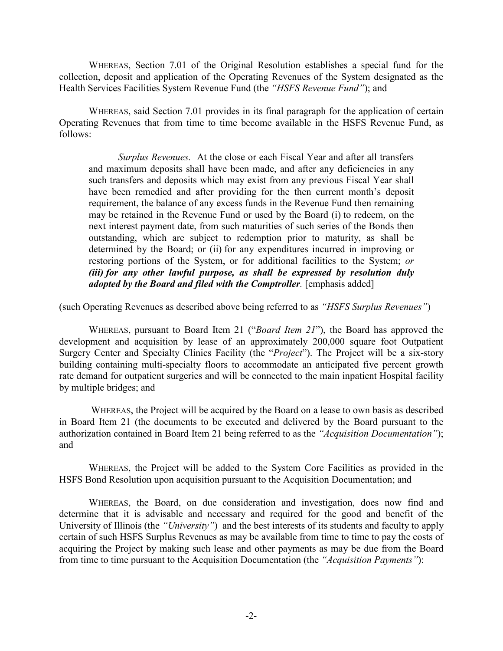WHEREAS, Section 7.01 of the Original Resolution establishes a special fund for the collection, deposit and application of the Operating Revenues of the System designated as the Health Services Facilities System Revenue Fund (the *"HSFS Revenue Fund"*); and

WHEREAS, said Section 7.01 provides in its final paragraph for the application of certain Operating Revenues that from time to time become available in the HSFS Revenue Fund, as follows:

*Surplus Revenues.* At the close or each Fiscal Year and after all transfers and maximum deposits shall have been made, and after any deficiencies in any such transfers and deposits which may exist from any previous Fiscal Year shall have been remedied and after providing for the then current month's deposit requirement, the balance of any excess funds in the Revenue Fund then remaining may be retained in the Revenue Fund or used by the Board (i) to redeem, on the next interest payment date, from such maturities of such series of the Bonds then outstanding, which are subject to redemption prior to maturity, as shall be determined by the Board; or (ii) for any expenditures incurred in improving or restoring portions of the System, or for additional facilities to the System; *or (iii) for any other lawful purpose, as shall be expressed by resolution duly adopted by the Board and filed with the Comptroller.* [emphasis added]

(such Operating Revenues as described above being referred to as *"HSFS Surplus Revenues"*)

WHEREAS, pursuant to Board Item 21 ("*Board Item 21*"), the Board has approved the development and acquisition by lease of an approximately 200,000 square foot Outpatient Surgery Center and Specialty Clinics Facility (the "*Project*"). The Project will be a six-story building containing multi-specialty floors to accommodate an anticipated five percent growth rate demand for outpatient surgeries and will be connected to the main inpatient Hospital facility by multiple bridges; and

WHEREAS, the Project will be acquired by the Board on a lease to own basis as described in Board Item 21 (the documents to be executed and delivered by the Board pursuant to the authorization contained in Board Item 21 being referred to as the *"Acquisition Documentation"*); and

WHEREAS, the Project will be added to the System Core Facilities as provided in the HSFS Bond Resolution upon acquisition pursuant to the Acquisition Documentation; and

WHEREAS, the Board, on due consideration and investigation, does now find and determine that it is advisable and necessary and required for the good and benefit of the University of Illinois (the *"University"*) and the best interests of its students and faculty to apply certain of such HSFS Surplus Revenues as may be available from time to time to pay the costs of acquiring the Project by making such lease and other payments as may be due from the Board from time to time pursuant to the Acquisition Documentation (the *"Acquisition Payments"*):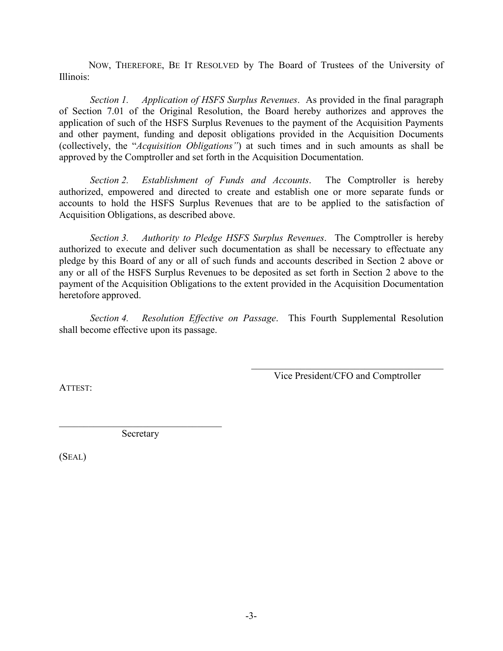NOW, THEREFORE, BE IT RESOLVED by The Board of Trustees of the University of Illinois:

*Section 1. Application of HSFS Surplus Revenues*. As provided in the final paragraph of Section 7.01 of the Original Resolution, the Board hereby authorizes and approves the application of such of the HSFS Surplus Revenues to the payment of the Acquisition Payments and other payment, funding and deposit obligations provided in the Acquisition Documents (collectively, the "*Acquisition Obligations"*) at such times and in such amounts as shall be approved by the Comptroller and set forth in the Acquisition Documentation.

*Section 2. Establishment of Funds and Accounts*. The Comptroller is hereby authorized, empowered and directed to create and establish one or more separate funds or accounts to hold the HSFS Surplus Revenues that are to be applied to the satisfaction of Acquisition Obligations, as described above.

 *Section 3. Authority to Pledge HSFS Surplus Revenues*. The Comptroller is hereby authorized to execute and deliver such documentation as shall be necessary to effectuate any pledge by this Board of any or all of such funds and accounts described in Section 2 above or any or all of the HSFS Surplus Revenues to be deposited as set forth in Section 2 above to the payment of the Acquisition Obligations to the extent provided in the Acquisition Documentation heretofore approved.

*Section 4. Resolution Effective on Passage*. This Fourth Supplemental Resolution shall become effective upon its passage.

> \_\_\_\_\_\_\_\_\_\_\_\_\_\_\_\_\_\_\_\_\_\_\_\_\_\_\_\_\_\_\_\_\_\_\_\_\_\_\_ Vice President/CFO and Comptroller

ATTEST:

Secretary

(SEAL)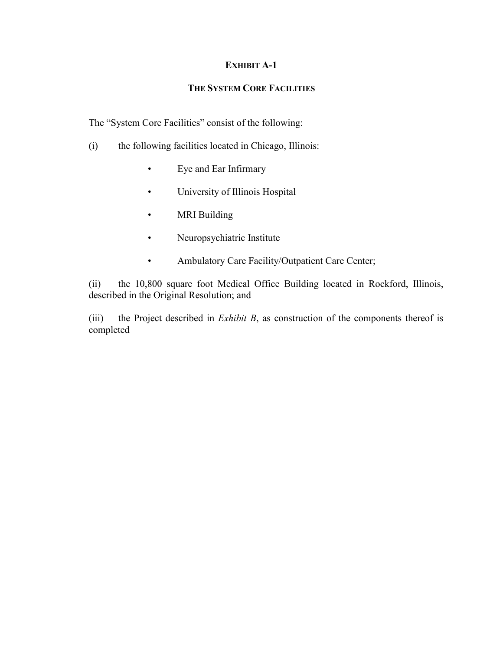## **EXHIBIT A-1**

## **THE SYSTEM CORE FACILITIES**

The "System Core Facilities" consist of the following:

- (i) the following facilities located in Chicago, Illinois:
	- Eye and Ear Infirmary
	- University of Illinois Hospital
	- MRI Building
	- Neuropsychiatric Institute
	- Ambulatory Care Facility/Outpatient Care Center;

(ii) the 10,800 square foot Medical Office Building located in Rockford, Illinois, described in the Original Resolution; and

(iii) the Project described in *Exhibit B*, as construction of the components thereof is completed